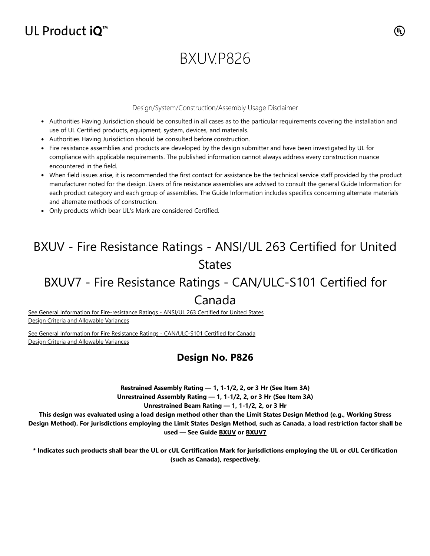## UL Product  $iQ^m$

# BXUV.P826

### Design/System/Construction/Assembly Usage Disclaimer

- Authorities Having Jurisdiction should be consulted in all cases as to the particular requirements covering the installation and use of UL Certified products, equipment, system, devices, and materials.
- Authorities Having Jurisdiction should be consulted before construction.
- Fire resistance assemblies and products are developed by the design submitter and have been investigated by UL for compliance with applicable requirements. The published information cannot always address every construction nuance encountered in the field.
- When field issues arise, it is recommended the first contact for assistance be the technical service staff provided by the product manufacturer noted for the design. Users of fire resistance assemblies are advised to consult the general Guide Information for each product category and each group of assemblies. The Guide Information includes specifics concerning alternate materials and alternate methods of construction.
- Only products which bear UL's Mark are considered Certified.

## BXUV - Fire Resistance Ratings - ANSI/UL 263 Certified for United **States**

## BXUV7 - Fire Resistance Ratings - CAN/ULC-S101 Certified for

### Canada

[See General Information for Fire-resistance Ratings - ANSI/UL 263 Certified for United States](https://iq.ulprospector.com/cgi-bin/XYV/template/LISEXT/1FRAME/showpage.html?name=BXUV.GuideInfo&ccnshorttitle=Fire-resistance+Ratings+-+ANSI/UL+263&objid=1074327030&cfgid=1073741824&version=versionless&parent_id=1073984818&sequence=1) Design Criteria and Allowable Variances

[See General Information for Fire Resistance Ratings - CAN/ULC-S101 Certified for Canada](https://iq.ulprospector.com/cgi-bin/XYV/template/LISEXT/1FRAME/showpage.html?name=BXUV7.GuideInfo&ccnshorttitle=Fire+Resistance+Ratings+-+CAN/ULC-S101+Certified+for+Canada&objid=1074205658&cfgid=1073741824&version=versionless&parent_id=1073984820&sequence=1) Design Criteria and Allowable Variances

### **Design No. P826**

**Restrained Assembly Rating — 1, 1-1/2, 2, or 3 Hr (See Item 3A)**

**Unrestrained Assembly Rating — 1, 1-1/2, 2, or 3 Hr (See Item 3A)**

**Unrestrained Beam Rating — 1, 1-1/2, 2, or 3 Hr**

**This design was evaluated using a load design method other than the Limit States Design Method (e.g., Working Stress Design Method). For jurisdictions employing the Limit States Design Method, such as Canada, a load restriction factor shall be used — See Guide [BXUV](https://database.ul.com/cgi-bin/XYV/template/LISEXT/1FRAME/showpage.html?name=BXUV.GuideInfo&ccnshorttitle=Fire-resistance+Ratings+-+ANSI/UL+263&objid=1074327030&cfgid=1073741824&version=versionless&parent_id=1073984818&sequence=1) or [BXUV7](https://database.ul.com/cgi-bin/XYV/template/LISEXT/1FRAME/showpage.html?name=BXUV7.GuideInfo&ccnshorttitle=Fire+Resistance+Ratings+-+CAN/ULC-S101M+Certified+for+Canada&objid=1074205658&cfgid=1073741824&version=versionless&parent_id=1073984820&sequence=1)**

**\* Indicates such products shall bear the UL or cUL Certification Mark for jurisdictions employing the UL or cUL Certification (such as Canada), respectively.**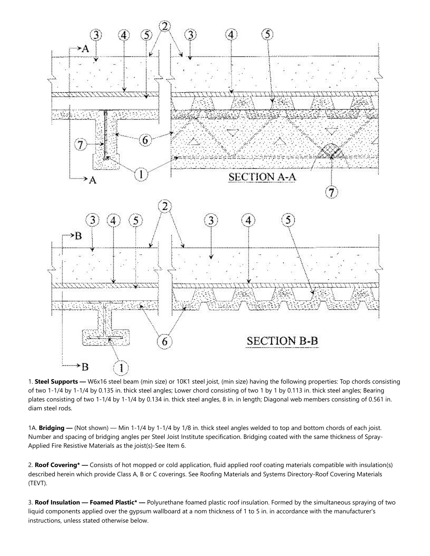

1. **Steel Supports —** W6x16 steel beam (min size) or 10K1 steel joist, (min size) having the following properties: Top chords consisting of two 1-1/4 by 1-1/4 by 0.135 in. thick steel angles; Lower chord consisting of two 1 by 1 by 0.113 in. thick steel angles; Bearing plates consisting of two 1-1/4 by 1-1/4 by 0.134 in. thick steel angles, 8 in. in length; Diagonal web members consisting of 0.561 in. diam steel rods.

1A. **Bridging —** (Not shown) — Min 1-1/4 by 1-1/4 by 1/8 in. thick steel angles welded to top and bottom chords of each joist. Number and spacing of bridging angles per Steel Joist Institute specification. Bridging coated with the same thickness of Spray-Applied Fire Resistive Materials as the joist(s)-See Item 6.

2. **Roof Covering\* —** Consists of hot mopped or cold application, fluid applied roof coating materials compatible with insulation(s) described herein which provide Class A, B or C coverings. See Roofing Materials and Systems Directory-Roof Covering Materials (TEVT).

3. **Roof Insulation — Foamed Plastic\* —** Polyurethane foamed plastic roof insulation. Formed by the simultaneous spraying of two liquid components applied over the gypsum wallboard at a nom thickness of 1 to 5 in. in accordance with the manufacturer's instructions, unless stated otherwise below.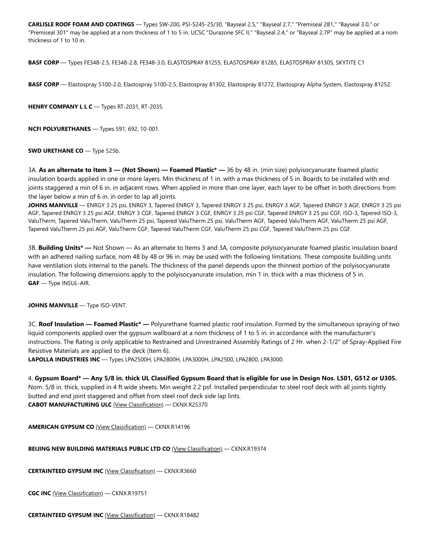**CARLISLE ROOF FOAM AND COATINGS** — Types SW-200, PSI-S245-25/30, "Bayseal 2.5," "Bayseal 2.7," "Premiseal 281," "Bayseal 3.0," or "Premiseal 301" may be applied at a nom thickness of 1 to 5 in. UCSC "Durazone SFC II," "Bayseal 2.4," or "Bayseal 2.7P" may be applied at a nom thickness of 1 to 10 in.

**BASF CORP** — Types FE348-2.5, FE348-2.8, FE348-3.0, ELASTOSPRAY 81255, ELASTOSPRAY 81285, ELASTOSPRAY 81305, SKYTITE C1

**BASF CORP** — Elastospray 5100-2.0, Elastospray 5100-2.5, Elastospray 81302, Elastospray 81272, Elastospray Alpha System, Elastospray 81252.

**HENRY COMPANY L L C** — Types RT-2031, RT-2035.

**NCFI POLYURETHANES** — Types 591, 692, 10-001.

**SWD URETHANE CO** — Type 525b.

3A. **As an alternate to Item 3 — (Not Shown) — Foamed Plastic\* —** 36 by 48 in. (min size) polyisocyanurate foamed plastic insulation boards applied in one or more layers. Min thickness of 1 in. with a max thickness of 5 in. Boards to be installed with end joints staggered a min of 6 in. in adjacent rows. When applied in more than one layer, each layer to be offset in both directions from the layer below a min of 6 in. in order to lap all joints.

**JOHNS MANVILLE** — ENRGY 3 25 psi, ENRGY 3, Tapered ENRGY 3, Tapered ENRGY 3 25 psi, ENRGY 3 AGF, Tapered ENRGY 3 AGF, ENRGY 3 25 psi AGF, Tapered ENRGY 3 25 psi AGF, ENRGY 3 CGF, Tapered ENRGY 3 CGF, ENRGY 3 25 psi CGF, Tapered ENRGY 3 25 psi CGF, ISO-3, Tapered ISO-3, ValuTherm, Tapered ValuTherm, ValuTherm 25 psi, Tapered ValuTherm 25 psi, ValuTherm AGF, Tapered ValuTherm AGF, ValuTherm 25 psi AGF, Tapered ValuTherm 25 psi AGF, ValuTherm CGF, Tapered ValuTherm CGF, ValuTherm 25 psi CGF, Tapered ValuTherm 25 psi CGF.

3B. **Building Units\* —** Not Shown — As an alternate to Items 3 and 3A, composite polyisocyanurate foamed plastic insulation board with an adhered nailing surface, nom 48 by 48 or 96 in. may be used with the following limitations. These composite building units have ventilation slots internal to the panels. The thickness of the panel depends upon the thinnest portion of the polyisocyanurate insulation. The following dimensions apply to the polyisocyanurate insulation, min 1 in. thick with a max thickness of 5 in. **GAF** — Type INSUL-AIR.

### **JOHNS MANVILLE** — Type ISO-VENT.

3C. **Roof Insulation — Foamed Plastic\* —** Polyurethane foamed plastic roof insulation. Formed by the simultaneous spraying of two liquid components applied over the gypsum wallboard at a nom thickness of 1 to 5 in. in accordance with the manufacturer's instructions. The Rating is only applicable to Restrained and Unrestrained Assembly Ratings of 2 Hr. when 2-1/2" of Spray-Applied Fire Resistive Materials are applied to the deck (Item 6).

**LAPOLLA INDUSTRIES INC** — Types LPA2500H, LPA2800H, LPA3000H, LPA2500, LPA2800, LPA3000.

4. **Gypsum Board\* — Any 5/8 in. thick UL Classified Gypsum Board that is eligible for use in Design Nos. L501, G512 or U305.** Nom. 5/8 in. thick, supplied in 4 ft wide sheets. Min weight 2.2 psf. Installed perpendicular to steel roof deck with all joints tightly butted and end joint staggered and offset from steel roof deck side lap lints. **CABOT MANUFACTURING ULC** [\(View Classification\)](https://database.ul.com/cgi-bin/XYV/cgifind/LISEXT/1FRAME/srchres.html?collection=/data3/verity_collections/lisext&vdkhome=/data3/verity_sw_rev24/common&SORT_BY=textlines:asc,ccnshorttitle:asc&query=100562937+%3CIN%3ESubscrbr_ID+and+CKNX*+%3CIN%3ECCN) — CKNX.R25370

**AMERICAN GYPSUM CO** [\(View Classification\)](https://database.ul.com/cgi-bin/XYV/cgifind/LISEXT/1FRAME/srchres.html?collection=/data3/verity_collections/lisext&vdkhome=/data3/verity_sw_rev24/common&SORT_BY=textlines:asc,ccnshorttitle:asc&query=283066001+%3CIN%3ESubscrbr_ID+and+CKNX*+%3CIN%3ECCN) — CKNX.R14196

**BEIJING NEW BUILDING MATERIALS PUBLIC LTD CO** [\(View Classification\)](https://database.ul.com/cgi-bin/XYV/cgifind/LISEXT/1FRAME/srchres.html?collection=/data3/verity_collections/lisext&vdkhome=/data3/verity_sw_rev24/common&SORT_BY=textlines:asc,ccnshorttitle:asc&query=736720001+%3CIN%3ESubscrbr_ID+and+CKNX*+%3CIN%3ECCN) — CKNX.R19374

**CERTAINTEED GYPSUM INC** [\(View Classification\)](https://database.ul.com/cgi-bin/XYV/cgifind/LISEXT/1FRAME/srchres.html?collection=/data3/verity_collections/lisext&vdkhome=/data3/verity_sw_rev24/common&SORT_BY=textlines:asc,ccnshorttitle:asc&query=100219806+%3CIN%3ESubscrbr_ID+and+CKNX*+%3CIN%3ECCN) — CKNX.R3660

**CGC INC** [\(View Classification\)](https://database.ul.com/cgi-bin/XYV/cgifind/LISEXT/1FRAME/srchres.html?collection=/data3/verity_collections/lisext&vdkhome=/data3/verity_sw_rev24/common&SORT_BY=textlines:asc,ccnshorttitle:asc&query=846414005+%3CIN%3ESubscrbr_ID+and+CKNX*+%3CIN%3ECCN) — CKNX.R19751

**CERTAINTEED GYPSUM INC** [\(View Classification\)](https://database.ul.com/cgi-bin/XYV/cgifind/LISEXT/1FRAME/srchres.html?collection=/data3/verity_collections/lisext&vdkhome=/data3/verity_sw_rev24/common&SORT_BY=textlines:asc,ccnshorttitle:asc&query=100219806+%3CIN%3ESubscrbr_ID+and+CKNX*+%3CIN%3ECCN) — CKNX.R18482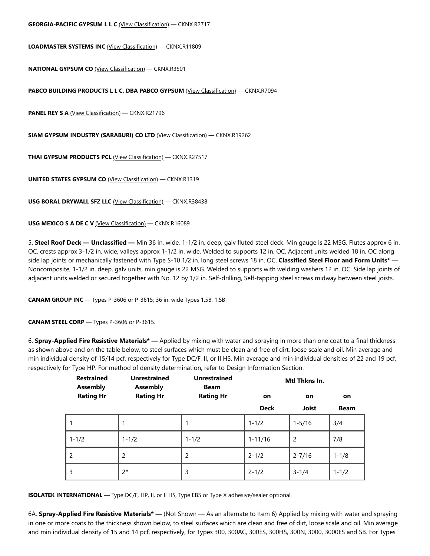#### **GEORGIA-PACIFIC GYPSUM L L C** [\(View Classification\)](https://database.ul.com/cgi-bin/XYV/cgifind/LISEXT/1FRAME/srchres.html?collection=/data3/verity_collections/lisext&vdkhome=/data3/verity_sw_rev24/common&SORT_BY=textlines:asc,ccnshorttitle:asc&query=299592001+%3CIN%3ESubscrbr_ID+and+CKNX*+%3CIN%3ECCN) — CKNX.R2717

**LOADMASTER SYSTEMS INC** [\(View Classification\)](https://database.ul.com/cgi-bin/XYV/cgifind/LISEXT/1FRAME/srchres.html?collection=/data3/verity_collections/lisext&vdkhome=/data3/verity_sw_rev24/common&SORT_BY=textlines:asc,ccnshorttitle:asc&query=226521001+%3CIN%3ESubscrbr_ID+and+CKNX*+%3CIN%3ECCN) — CKNX.R11809

**NATIONAL GYPSUM CO** [\(View Classification\)](https://database.ul.com/cgi-bin/XYV/cgifind/LISEXT/1FRAME/srchres.html?collection=/data3/verity_collections/lisext&vdkhome=/data3/verity_sw_rev24/common&SORT_BY=textlines:asc,ccnshorttitle:asc&query=923830002+%3CIN%3ESubscrbr_ID+and+CKNX*+%3CIN%3ECCN) — CKNX.R3501

**PABCO BUILDING PRODUCTS L L C, DBA PABCO GYPSUM** [\(View Classification\)](https://database.ul.com/cgi-bin/XYV/cgifind/LISEXT/1FRAME/srchres.html?collection=/data3/verity_collections/lisext&vdkhome=/data3/verity_sw_rev24/common&SORT_BY=textlines:asc,ccnshorttitle:asc&query=100046076+%3CIN%3ESubscrbr_ID+and+CKNX*+%3CIN%3ECCN) — CKNX.R7094

**PANEL REY S A** [\(View Classification\)](https://database.ul.com/cgi-bin/XYV/cgifind/LISEXT/1FRAME/srchres.html?collection=/data3/verity_collections/lisext&vdkhome=/data3/verity_sw_rev24/common&SORT_BY=textlines:asc,ccnshorttitle:asc&query=544217001+%3CIN%3ESubscrbr_ID+and+CKNX*+%3CIN%3ECCN) — CKNX.R21796

**SIAM GYPSUM INDUSTRY (SARABURI) CO LTD** [\(View Classification\)](https://database.ul.com/cgi-bin/XYV/cgifind/LISEXT/1FRAME/srchres.html?collection=/data3/verity_collections/lisext&vdkhome=/data3/verity_sw_rev24/common&SORT_BY=textlines:asc,ccnshorttitle:asc&query=798029001+%3CIN%3ESubscrbr_ID+and+CKNX*+%3CIN%3ECCN) — CKNX.R19262

**THAI GYPSUM PRODUCTS PCL** [\(View Classification\)](https://database.ul.com/cgi-bin/XYV/cgifind/LISEXT/1FRAME/srchres.html?collection=/data3/verity_collections/lisext&vdkhome=/data3/verity_sw_rev24/common&SORT_BY=textlines:asc,ccnshorttitle:asc&query=100584219+%3CIN%3ESubscrbr_ID+and+CKNX*+%3CIN%3ECCN) — CKNX.R27517

**UNITED STATES GYPSUM CO** [\(View Classification\)](https://database.ul.com/cgi-bin/XYV/cgifind/LISEXT/1FRAME/srchres.html?collection=/data3/verity_collections/lisext&vdkhome=/data3/verity_sw_rev24/common&SORT_BY=textlines:asc,ccnshorttitle:asc&query=730408054+%3CIN%3ESubscrbr_ID+and+CKNX*+%3CIN%3ECCN) — CKNX.R1319

**USG BORAL DRYWALL SFZ LLC** [\(View Classification\)](https://database.ul.com/cgi-bin/XYV/cgifind/LISEXT/1FRAME/srchres.html?collection=/data3/verity_collections/lisext&vdkhome=/data3/verity_sw_rev24/common&SORT_BY=textlines:asc,ccnshorttitle:asc&query=P1802957+%3CIN%3ESubscrbr_ID+and+CKNX*+%3CIN%3ECCN) — CKNX.R38438

**USG MEXICO S A DE C V** [\(View Classification\)](https://database.ul.com/cgi-bin/XYV/cgifind/LISEXT/1FRAME/srchres.html?collection=/data3/verity_collections/lisext&vdkhome=/data3/verity_sw_rev24/common&SORT_BY=textlines:asc,ccnshorttitle:asc&query=287840003+%3CIN%3ESubscrbr_ID+and+CKNX*+%3CIN%3ECCN) — CKNX.R16089

5. **Steel Roof Deck — Unclassified —** Min 36 in. wide, 1-1/2 in. deep, galv fluted steel deck. Min gauge is 22 MSG. Flutes approx 6 in. OC, crests approx 3-1/2 in. wide, valleys approx 1-1/2 in. wide. Welded to supports 12 in. OC. Adjacent units welded 18 in. OC along side lap joints or mechanically fastened with Type S-10 1/2 in. long steel screws 18 in. OC. **Classified Steel Floor and Form Units\*** — Noncomposite, 1-1/2 in. deep, galv units, min gauge is 22 MSG. Welded to supports with welding washers 12 in. OC. Side lap joints of adjacent units welded or secured together with No. 12 by 1/2 in. Self-drilling, Self-tapping steel screws midway between steel joists.

**CANAM GROUP INC** — Types P-3606 or P-3615; 36 in. wide Types 1.5B, 1.5BI

**CANAM STEEL CORP** — Types P-3606 or P-3615.

6. **Spray-Applied Fire Resistive Materials\* —** Applied by mixing with water and spraying in more than one coat to a final thickness as shown above and on the table below, to steel surfaces which must be clean and free of dirt, loose scale and oil. Min average and min individual density of 15/14 pcf, respectively for Type DC/F, II, or II HS. Min average and min individual densities of 22 and 19 pcf, respectively for Type HP. For method of density determination, refer to Design Information Section.

| <b>Restrained</b><br><b>Assembly</b> | <b>Unrestrained</b><br><b>Assembly</b> | <b>Unrestrained</b><br><b>Beam</b> |             | Mtl Thkns In. |             |  |
|--------------------------------------|----------------------------------------|------------------------------------|-------------|---------------|-------------|--|
| <b>Rating Hr</b>                     | <b>Rating Hr</b>                       | <b>Rating Hr</b>                   | on          | on            | on          |  |
|                                      |                                        |                                    | <b>Deck</b> | <b>Joist</b>  | <b>Beam</b> |  |
|                                      | 1                                      |                                    | $1 - 1/2$   | $1 - 5/16$    | 3/4         |  |
| $1 - 1/2$                            | $1 - 1/2$                              | $1 - 1/2$                          | $1 - 11/16$ | 2             | 7/8         |  |
| 2                                    | 2                                      | $\overline{c}$                     | $2 - 1/2$   | $2 - 7/16$    | $1 - 1/8$   |  |
| 3                                    | $2^*$                                  | 3                                  | $2 - 1/2$   | $3 - 1/4$     | $1 - 1/2$   |  |

**ISOLATEK INTERNATIONAL** — Type DC/F, HP, II, or II HS, Type EBS or Type X adhesive/sealer optional.

6A. **Spray-Applied Fire Resistive Materials\* —** (Not Shown — As an alternate to Item 6) Applied by mixing with water and spraying in one or more coats to the thickness shown below, to steel surfaces which are clean and free of dirt, loose scale and oil. Min average and min individual density of 15 and 14 pcf, respectively, for Types 300, 300AC, 300ES, 300HS, 300N, 3000, 3000ES and SB. For Types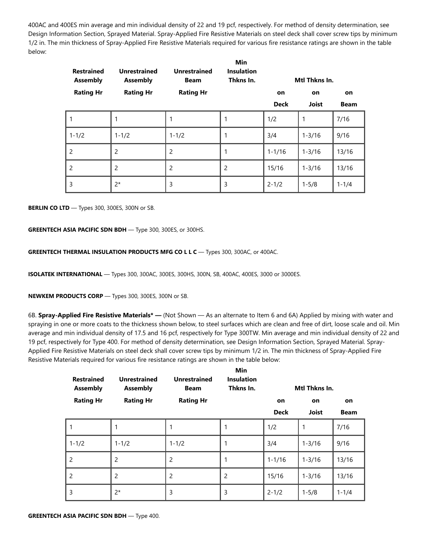400AC and 400ES min average and min individual density of 22 and 19 pcf, respectively. For method of density determination, see Design Information Section, Sprayed Material. Spray-Applied Fire Resistive Materials on steel deck shall cover screw tips by minimum 1/2 in. The min thickness of Spray-Applied Fire Resistive Materials required for various fire resistance ratings are shown in the table below:

| <b>Restrained</b><br><b>Assembly</b> | <b>Unrestrained</b><br><b>Assembly</b> | <b>Unrestrained</b><br><b>Beam</b> | Min<br><b>Insulation</b><br>Thkns In. |             | Mtl Thkns In. |             |
|--------------------------------------|----------------------------------------|------------------------------------|---------------------------------------|-------------|---------------|-------------|
| <b>Rating Hr</b>                     | <b>Rating Hr</b>                       | <b>Rating Hr</b>                   |                                       | on          | on            | on          |
|                                      |                                        |                                    |                                       | <b>Deck</b> | <b>Joist</b>  | <b>Beam</b> |
| 1                                    | 1                                      |                                    | 1                                     | 1/2         | 1             | 7/16        |
| $1 - 1/2$                            | $1 - 1/2$                              | $1 - 1/2$                          | 1                                     | 3/4         | $1 - 3/16$    | 9/16        |
| $\overline{2}$                       | 2                                      | $\overline{2}$                     | 1                                     | $1 - 1/16$  | $1 - 3/16$    | 13/16       |
| 2                                    | $\overline{2}$                         | $\overline{2}$                     | $\overline{2}$                        | 15/16       | $1 - 3/16$    | 13/16       |
| 3                                    | $2^*$                                  | 3                                  | 3                                     | $2 - 1/2$   | $1 - 5/8$     | $1 - 1/4$   |

**BERLIN CO LTD** — Types 300, 300ES, 300N or SB.

### **GREENTECH ASIA PACIFIC SDN BDH** — Type 300, 300ES, or 300HS.

**GREENTECH THERMAL INSULATION PRODUCTS MFG CO L L C** — Types 300, 300AC, or 400AC.

**ISOLATEK INTERNATIONAL** — Types 300, 300AC, 300ES, 300HS, 300N, SB, 400AC, 400ES, 3000 or 3000ES.

**NEWKEM PRODUCTS CORP** — Types 300, 300ES, 300N or SB.

6B. **Spray-Applied Fire Resistive Materials\* —** (Not Shown — As an alternate to Item 6 and 6A) Applied by mixing with water and spraying in one or more coats to the thickness shown below, to steel surfaces which are clean and free of dirt, loose scale and oil. Min average and min individual density of 17.5 and 16 pcf, respectively for Type 300TW. Min average and min individual density of 22 and 19 pcf, respectively for Type 400. For method of density determination, see Design Information Section, Sprayed Material. Spray-Applied Fire Resistive Materials on steel deck shall cover screw tips by minimum 1/2 in. The min thickness of Spray-Applied Fire Resistive Materials required for various fire resistance ratings are shown in the table below:

| <b>Restrained</b><br><b>Assembly</b> | <b>Unrestrained</b><br><b>Assembly</b> | <b>Unrestrained</b><br><b>Beam</b> | Min<br><b>Insulation</b><br>Thkns In. |             | Mtl Thkns In. |             |
|--------------------------------------|----------------------------------------|------------------------------------|---------------------------------------|-------------|---------------|-------------|
| <b>Rating Hr</b>                     | <b>Rating Hr</b>                       | <b>Rating Hr</b>                   |                                       | on          | on            | on          |
|                                      |                                        |                                    |                                       | <b>Deck</b> | <b>Joist</b>  | <b>Beam</b> |
|                                      |                                        | 1                                  |                                       | 1/2         |               | 7/16        |
| $1 - 1/2$                            | $1 - 1/2$                              | $1 - 1/2$                          | 1                                     | 3/4         | $1 - 3/16$    | 9/16        |
| 2                                    | $\overline{2}$                         | 2                                  |                                       | $1 - 1/16$  | $1 - 3/16$    | 13/16       |
| 2                                    | $\overline{2}$                         | $\overline{c}$                     | $\overline{c}$                        | 15/16       | $1 - 3/16$    | 13/16       |
| 3                                    | $2*$                                   | 3                                  | 3                                     | $2 - 1/2$   | $1 - 5/8$     | $1 - 1/4$   |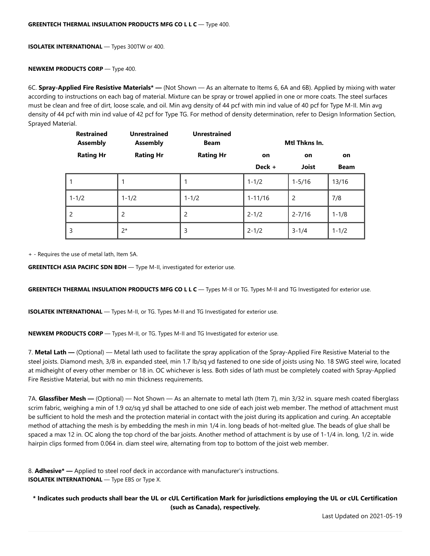**ISOLATEK INTERNATIONAL** — Types 300TW or 400.

#### **NEWKEM PRODUCTS CORP** — Type 400.

6C. **Spray-Applied Fire Resistive Materials\* —** (Not Shown — As an alternate to Items 6, 6A and 6B). Applied by mixing with water according to instructions on each bag of material. Mixture can be spray or trowel applied in one or more coats. The steel surfaces must be clean and free of dirt, loose scale, and oil. Min avg density of 44 pcf with min ind value of 40 pcf for Type M-II. Min avg density of 44 pcf with min ind value of 42 pcf for Type TG. For method of density determination, refer to Design Information Section, Sprayed Material.

| <b>Restrained</b><br><b>Assembly</b> | <b>Unrestrained</b><br><b>Assembly</b> | <b>Unrestrained</b><br><b>Beam</b> |             | Mtl Thkns In. |             |
|--------------------------------------|----------------------------------------|------------------------------------|-------------|---------------|-------------|
| <b>Rating Hr</b>                     | <b>Rating Hr</b>                       | <b>Rating Hr</b>                   | <b>on</b>   | on            | on          |
|                                      |                                        |                                    | Deck +      | <b>Joist</b>  | <b>Beam</b> |
|                                      | 1                                      | 1                                  | $1 - 1/2$   | $1 - 5/16$    | 13/16       |
| $1 - 1/2$                            | $1 - 1/2$                              | $1 - 1/2$                          | $1 - 11/16$ | 2             | 7/8         |
| 2                                    | 2                                      | 2                                  | $2 - 1/2$   | $2 - 7/16$    | $1 - 1/8$   |
| 3                                    | $2*$                                   | 3                                  | $2 - 1/2$   | $3 - 1/4$     | $1 - 1/2$   |

+ - Requires the use of metal lath, Item 5A.

**GREENTECH ASIA PACIFIC SDN BDH** - Type M-II, investigated for exterior use.

**GREENTECH THERMAL INSULATION PRODUCTS MFG CO L L C** — Types M-II or TG. Types M-II and TG Investigated for exterior use.

**ISOLATEK INTERNATIONAL** — Types M-II, or TG. Types M-II and TG Investigated for exterior use.

**NEWKEM PRODUCTS CORP** — Types M-II, or TG. Types M-II and TG Investigated for exterior use.

7. **Metal Lath —** (Optional) — Metal lath used to facilitate the spray application of the Spray-Applied Fire Resistive Material to the steel joists. Diamond mesh, 3/8 in. expanded steel, min 1.7 lb/sq yd fastened to one side of joists using No. 18 SWG steel wire, located at midheight of every other member or 18 in. OC whichever is less. Both sides of lath must be completely coated with Spray-Applied Fire Resistive Material, but with no min thickness requirements.

7A. **Glassfiber Mesh —** (Optional) — Not Shown — As an alternate to metal lath (Item 7), min 3/32 in. square mesh coated fiberglass scrim fabric, weighing a min of 1.9 oz/sq yd shall be attached to one side of each joist web member. The method of attachment must be sufficient to hold the mesh and the protection material in contact with the joist during its application and curing. An acceptable method of attaching the mesh is by embedding the mesh in min 1/4 in. long beads of hot-melted glue. The beads of glue shall be spaced a max 12 in. OC along the top chord of the bar joists. Another method of attachment is by use of 1-1/4 in. long, 1/2 in. wide hairpin clips formed from 0.064 in. diam steel wire, alternating from top to bottom of the joist web member.

| 8. <b>Adhesive<sup>*</sup></b> — Applied to steel roof deck in accordance with manufacturer's instructions. |
|-------------------------------------------------------------------------------------------------------------|
| <b>ISOLATEK INTERNATIONAL</b> — Type EBS or Type X.                                                         |

**\* Indicates such products shall bear the UL or cUL Certification Mark for jurisdictions employing the UL or cUL Certification (such as Canada), respectively.**